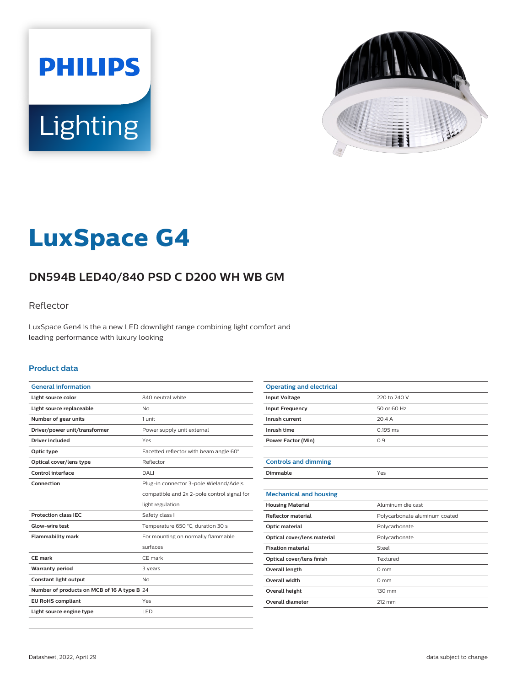



# **LuxSpace G4**

# **DN594B LED40/840 PSD C D200 WH WB GM**

### Reflector

LuxSpace Gen4 is the a new LED downlight range combining light comfort and leading performance with luxury looking

#### **Product data**

| <b>General information</b>                  |                                             |  |
|---------------------------------------------|---------------------------------------------|--|
| Light source color                          | 840 neutral white                           |  |
| Light source replaceable                    | No                                          |  |
| Number of gear units                        | 1 unit                                      |  |
| Driver/power unit/transformer               | Power supply unit external                  |  |
| <b>Driver included</b>                      | Yes                                         |  |
| Optic type                                  | Facetted reflector with beam angle 60°      |  |
| Optical cover/lens type                     | Reflector                                   |  |
| Control interface                           | DALI                                        |  |
| Connection                                  | Plug-in connector 3-pole Wieland/Adels      |  |
|                                             | compatible and 2x 2-pole control signal for |  |
|                                             | light regulation                            |  |
| <b>Protection class IEC</b>                 | Safety class I                              |  |
| Glow-wire test                              | Temperature 650 °C, duration 30 s           |  |
| <b>Flammability mark</b>                    | For mounting on normally flammable          |  |
|                                             | surfaces                                    |  |
| CE mark                                     | CE mark                                     |  |
| <b>Warranty period</b>                      | 3 years                                     |  |
| Constant light output                       | N <sub>o</sub>                              |  |
| Number of products on MCB of 16 A type B 24 |                                             |  |
| <b>EU RoHS compliant</b>                    | Yes                                         |  |
| Light source engine type                    | LED                                         |  |

| <b>Operating and electrical</b> |                               |
|---------------------------------|-------------------------------|
| <b>Input Voltage</b>            | 220 to 240 V                  |
| <b>Input Frequency</b>          | 50 or 60 Hz                   |
| Inrush current                  | 20.4A                         |
| Inrush time                     | $0.195$ ms                    |
| <b>Power Factor (Min)</b>       | 0.9                           |
|                                 |                               |
| <b>Controls and dimming</b>     |                               |
| Dimmable                        | Yes                           |
|                                 |                               |
| <b>Mechanical and housing</b>   |                               |
| <b>Housing Material</b>         | Aluminum die cast             |
| <b>Reflector material</b>       | Polycarbonate aluminum coated |
| Optic material                  | Polycarbonate                 |
| Optical cover/lens material     | Polycarbonate                 |
| <b>Fixation material</b>        | Steel                         |
| Optical cover/lens finish       | Textured                      |
| <b>Overall length</b>           | $0 \text{ mm}$                |
| <b>Overall width</b>            | $0 \text{ mm}$                |
| Overall height                  | 130 mm                        |
| <b>Overall diameter</b>         | 212 mm                        |
|                                 |                               |